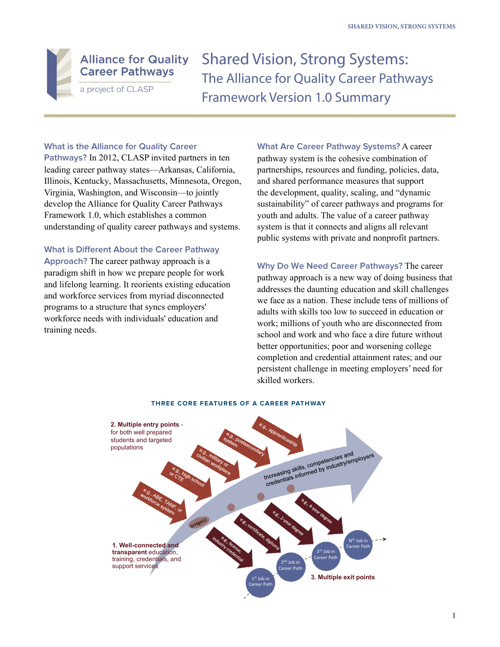

Shared Vision, Strong Systems: The Alliance for Quality Career Pathways Framework Version 1.0 Summary

# **What is the Alliance for Quality Career**

**Pathways?** In 2012, CLASP invited partners in ten leading career pathway states—Arkansas, California, Illinois, Kentucky, Massachusetts, Minnesota, Oregon, Virginia, Washington, and Wisconsin—to jointly develop the Alliance for Quality Career Pathways Framework 1.0, which establishes a common understanding of quality career pathways and systems.

# **What is Different About the Career Pathway**

**Approach?** The career pathway approach is a paradigm shift in how we prepare people for work and lifelong learning. It reorients existing education and workforce services from myriad disconnected programs to a structure that syncs employers' workforce needs with individuals' education and training needs.

**What Are Career Pathway Systems?** A career pathway system is the cohesive combination of partnerships, resources and funding, policies, data, and shared performance measures that support the development, quality, scaling, and "dynamic sustainability" of career pathways and programs for youth and adults. The value of a career pathway system is that it connects and aligns all relevant public systems with private and nonprofit partners.

**Why Do We Need Career Pathways?** The career pathway approach is a new way of doing business that addresses the daunting education and skill challenges we face as a nation. These include tens of millions of adults with skills too low to succeed in education or work; millions of youth who are disconnected from school and work and who face a dire future without better opportunities; poor and worsening college completion and credential attainment rates; and our persistent challenge in meeting employers' need for skilled workers.



## **THREE CORE FEATURES OF A CAREER PATHWAY**